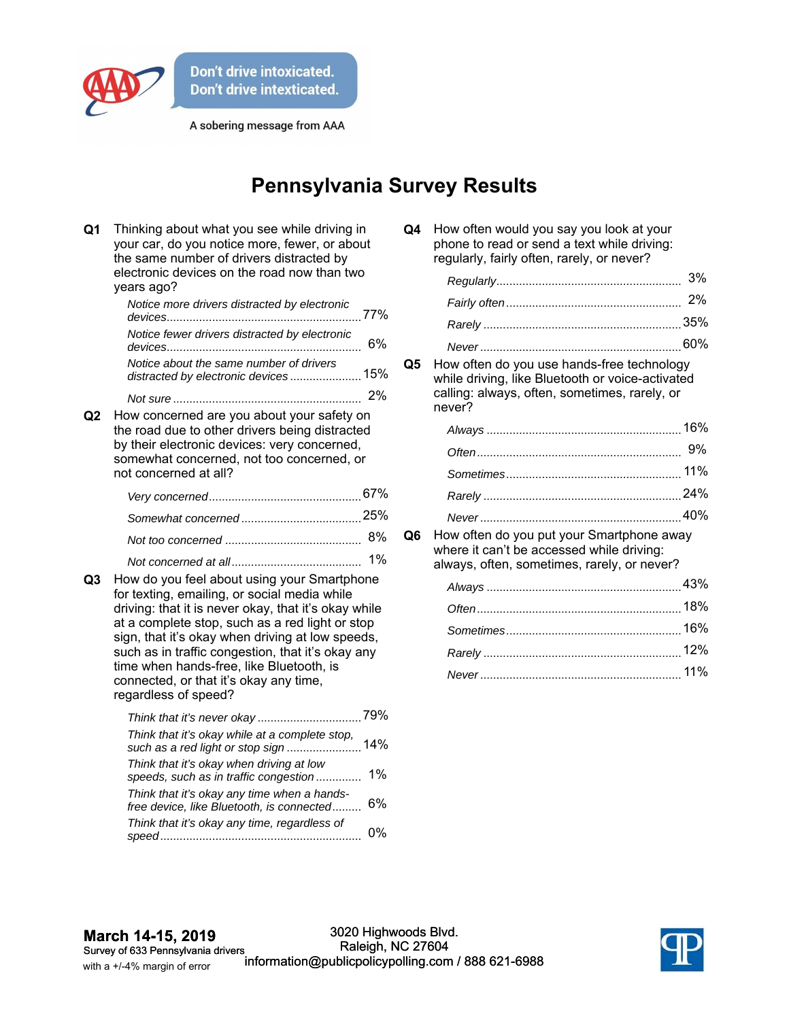

A sobering message from AAA

## **Pennsylvania Survey Results**

| Q1 | Thinking about what you see while driving in<br>your car, do you notice more, fewer, or about<br>the same number of drivers distracted by<br>electronic devices on the road now than two<br>years ago?                                                                                                                                                                                                                        |       |
|----|-------------------------------------------------------------------------------------------------------------------------------------------------------------------------------------------------------------------------------------------------------------------------------------------------------------------------------------------------------------------------------------------------------------------------------|-------|
|    | Notice more drivers distracted by electronic                                                                                                                                                                                                                                                                                                                                                                                  | 77%   |
|    | Notice fewer drivers distracted by electronic                                                                                                                                                                                                                                                                                                                                                                                 | 6%    |
|    | Notice about the same number of drivers<br>distracted by electronic devices 15%                                                                                                                                                                                                                                                                                                                                               |       |
|    |                                                                                                                                                                                                                                                                                                                                                                                                                               | 2%    |
| Q2 | How concerned are you about your safety on<br>the road due to other drivers being distracted<br>by their electronic devices: very concerned,<br>somewhat concerned, not too concerned, or<br>not concerned at all?                                                                                                                                                                                                            |       |
|    |                                                                                                                                                                                                                                                                                                                                                                                                                               |       |
|    |                                                                                                                                                                                                                                                                                                                                                                                                                               |       |
|    |                                                                                                                                                                                                                                                                                                                                                                                                                               | 8%    |
| Q3 | How do you feel about using your Smartphone<br>for texting, emailing, or social media while<br>driving: that it is never okay, that it's okay while<br>at a complete stop, such as a red light or stop<br>sign, that it's okay when driving at low speeds,<br>such as in traffic congestion, that it's okay any<br>time when hands-free, like Bluetooth, is<br>connected, or that it's okay any time,<br>regardless of speed? | 1%    |
|    |                                                                                                                                                                                                                                                                                                                                                                                                                               |       |
|    | Think that it's okay while at a complete stop,<br>such as a red light or stop sign                                                                                                                                                                                                                                                                                                                                            | 14%   |
|    | Think that it's okay when driving at low<br>speeds, such as in traffic congestion                                                                                                                                                                                                                                                                                                                                             | 1%    |
|    | Think that it's okay any time when a hands-<br>free device, like Bluetooth, is connected                                                                                                                                                                                                                                                                                                                                      | 6%    |
|    | Think that it's okay any time, regardless of                                                                                                                                                                                                                                                                                                                                                                                  | $0\%$ |

| Q4 | How often would you say you look at your    |
|----|---------------------------------------------|
|    | phone to read or send a text while driving: |
|    | regularly, fairly often, rarely, or never?  |

**Q5** How often do you use hands-free technology while driving, like Bluetooth or voice-activated calling: always, often, sometimes, rarely, or never?

**Q6** How often do you put your Smartphone away where it can't be accessed while driving: always, often, sometimes, rarely, or never?